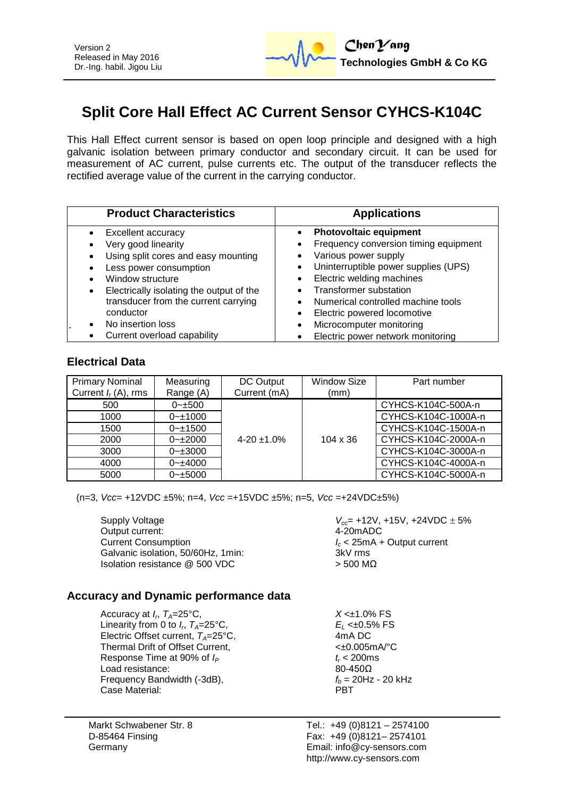

# **Split Core Hall Effect AC Current Sensor CYHCS-K104C**

This Hall Effect current sensor is based on open loop principle and designed with a high galvanic isolation between primary conductor and secondary circuit. It can be used for measurement of AC current, pulse currents etc. The output of the transducer reflects the rectified average value of the current in the carrying conductor.

| <b>Product Characteristics</b>                                                                                                                                                                                                               | <b>Applications</b>                                                                                                                                                                                                                                                       |  |  |
|----------------------------------------------------------------------------------------------------------------------------------------------------------------------------------------------------------------------------------------------|---------------------------------------------------------------------------------------------------------------------------------------------------------------------------------------------------------------------------------------------------------------------------|--|--|
| Excellent accuracy<br>Very good linearity<br>Using split cores and easy mounting<br>Less power consumption<br>Window structure<br>Electrically isolating the output of the<br>$\bullet$<br>transducer from the current carrying<br>conductor | <b>Photovoltaic equipment</b><br>Frequency conversion timing equipment<br>Various power supply<br>Uninterruptible power supplies (UPS)<br>Electric welding machines<br><b>Transformer substation</b><br>Numerical controlled machine tools<br>Electric powered locomotive |  |  |
| No insertion loss<br>$\bullet$<br>Current overload capability                                                                                                                                                                                | Microcomputer monitoring<br>Electric power network monitoring                                                                                                                                                                                                             |  |  |

# **Electrical Data**

| <b>Primary Nominal</b><br>Current $I_r(A)$ , rms | Measuring<br>Range (A) | DC Output<br>Current (mA) | <b>Window Size</b><br>(mm) | Part number         |
|--------------------------------------------------|------------------------|---------------------------|----------------------------|---------------------|
| 500                                              | $0 - \pm 500$          |                           |                            | CYHCS-K104C-500A-n  |
| 1000                                             | $0 - 1000$             |                           |                            | CYHCS-K104C-1000A-n |
| 1500                                             | $0 - 1500$             |                           |                            | CYHCS-K104C-1500A-n |
| 2000                                             | $0 - 2000$             | $4 - 20 \pm 1.0\%$        | $104 \times 36$            | CYHCS-K104C-2000A-n |
| 3000                                             | $0 - 3000$             |                           |                            | CYHCS-K104C-3000A-n |
| 4000                                             | $0 - 4000$             |                           |                            | CYHCS-K104C-4000A-n |
| 5000                                             | $0 - 5000$             |                           |                            | CYHCS-K104C-5000A-n |

(n=3, *Vcc*= +12VDC ±5%; n=4, *Vcc* =+15VDC ±5%; n=5, *Vcc* =+24VDC±5%)

Supply Voltage *V<sub>cc</sub>* = +12V, +15V, +24VDC ± 5% Output current: 4-20mADC Current Consumption<br>Galvanic isolation, 50/60Hz, 1min:<br>
Galvanic isolation, 50/60Hz, 1min:<br>
2kV rms Galvanic isolation, 50/60Hz, 1min: Isolation resistance  $@$  500 VDC  $>$  500 MΩ

# **Accuracy and Dynamic performance data**

Accuracy at  $I_r$ ,  $T_A=25^{\circ}$ C, Linearity from 0 to  $I_r$ ,  $T_A = 25^{\circ}$ C, Electric Offset current,  $T_A = 25^{\circ}$ C, 4mA DC<br>Thermal Drift of Offset Current. <br>All the section of the section of the section of the section of the section of the section of the section of the section of the section of th Thermal Drift of Offset Current, Response Time at 90% of  $I_P$  *t<sub>r</sub>* **< 200ms**<br>Load resistance: 80-450 $\Omega$ Load resistance: 80-450 $\Omega$ <br>Frequency Bandwidth (-3dB),  $f_h = 20Hz - 20kHz$ Frequency Bandwidth (-3dB),  $f_b = 2$ <br>Case Material: **PBT** Case Material:

Markt Schwabener Str. 8 D-85464 Finsing Germany

 $X < \pm 1.0\%$  FS  $E_1$  < $\pm$ 0.5% FS

Tel.: +49 (0)8121 – 2574100 Fax: +49 (0)8121– 2574101 Email: info@cy-sensors.com http://www.cy-sensors.com